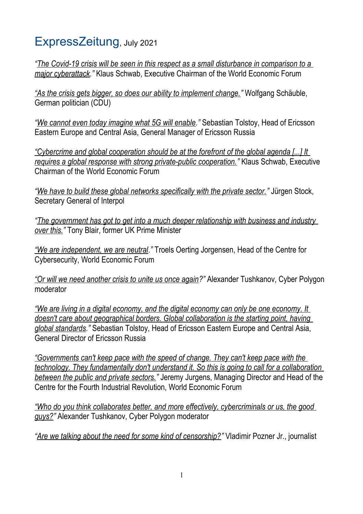## ExpressZeitung, July 2021

*"The Covid-19 crisis will be seen in this respect as a small disturbance in comparison to a major cyberattack."* Klaus Schwab, Executive Chairman of the World Economic Forum

*"As the crisis gets bigger, so does our ability to implement change."* Wolfgang Schäuble, German politician (CDU)

*"We cannot even today imagine what 5G will enable."* Sebastian Tolstoy, Head of Ericsson Eastern Europe and Central Asia, General Manager of Ericsson Russia

*"Cybercrime and global cooperation should be at the forefront of the global agenda [...] It requires a global response with strong private-public cooperation."* Klaus Schwab, Executive Chairman of the World Economic Forum

*"We have to build these global networks specifically with the private sector."* Jürgen Stock, Secretary General of Interpol

*"The government has got to get into a much deeper relationship with business and industry over this."* Tony Blair, former UK Prime Minister

*"We are independent, we are neutral."* Troels Oerting Jorgensen, Head of the Centre for Cybersecurity, World Economic Forum

*"Or will we need another crisis to unite us once again?"* Alexander Tushkanov, Cyber Polygon moderator

*"We are living in a digital economy, and the digital economy can only be one economy. It doesn't care about geographical borders. Global collaboration is the starting point, having global standards."* Sebastian Tolstoy, Head of Ericsson Eastern Europe and Central Asia, General Director of Ericsson Russia

*"Governments can't keep pace with the speed of change. They can't keep pace with the technology. They fundamentally don't understand it. So this is going to call for a collaboration between the public and private sectors."* Jeremy Jurgens, Managing Director and Head of the Centre for the Fourth Industrial Revolution, World Economic Forum

*"Who do you think collaborates better, and more effectively, cybercriminals or us, the good guys?"* Alexander Tushkanov, Cyber Polygon moderator

*"Are we talking about the need for some kind of censorship?"* Vladimir Pozner Jr., journalist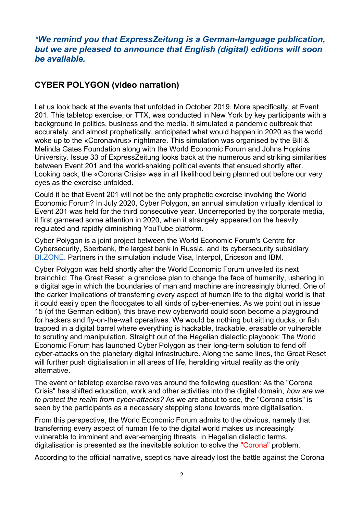## *\*We remind you that ExpressZeitung is a German-language publication, but we are pleased to announce that English (digital) editions will soon be available.*

## **CYBER POLYGON (video narration)**

Let us look back at the events that unfolded in October 2019. More specifically, at Event 201. This tabletop exercise, or TTX, was conducted in New York by key participants with a background in politics, business and the media. It simulated a pandemic outbreak that accurately, and almost prophetically, anticipated what would happen in 2020 as the world woke up to the «Coronavirus» nightmare. This simulation was organised by the Bill & Melinda Gates Foundation along with the World Economic Forum and Johns Hopkins University. Issue 33 of ExpressZeitung looks back at the numerous and striking similarities between Event 201 and the world-shaking political events that ensued shortly after. Looking back, the «Corona Crisis» was in all likelihood being planned out before our very eyes as the exercise unfolded.

Could it be that Event 201 will not be the only prophetic exercise involving the World Economic Forum? In July 2020, Cyber Polygon, an annual simulation virtually identical to Event 201 was held for the third consecutive year. Underreported by the corporate media, it first garnered some attention in 2020, when it strangely appeared on the heavily regulated and rapidly diminishing YouTube platform.

Cyber Polygon is a joint project between the World Economic Forum's Centre for Cybersecurity, Sberbank, the largest bank in Russia, and its cybersecurity subsidiary BI.ZONE. Partners in the simulation include Visa, Interpol, Ericsson and IBM.

Cyber Polygon was held shortly after the World Economic Forum unveiled its next brainchild: The Great Reset, a grandiose plan to change the face of humanity, ushering in a digital age in which the boundaries of man and machine are increasingly blurred. One of the darker implications of transferring every aspect of human life to the digital world is that it could easily open the floodgates to all kinds of cyber-enemies. As we point out in issue 15 (of the German edition), this brave new cyberworld could soon become a playground for hackers and fly-on-the-wall operatives. We would be nothing but sitting ducks, or fish trapped in a digital barrel where everything is hackable, trackable, erasable or vulnerable to scrutiny and manipulation. Straight out of the Hegelian dialectic playbook: The World Economic Forum has launched Cyber Polygon as their long-term solution to fend off cyber-attacks on the planetary digital infrastructure. Along the same lines, the Great Reset will further push digitalisation in all areas of life, heralding virtual reality as the only alternative.

The event or tabletop exercise revolves around the following question: As the "Corona Crisis" has shifted education, work and other activities into the digital domain, *how are we to protect the realm from cyber-attacks?* As we are about to see, the "Corona crisis" is seen by the participants as a necessary stepping stone towards more digitalisation.

From this perspective, the World Economic Forum admits to the obvious, namely that transferring every aspect of human life to the digital world makes us increasingly vulnerable to imminent and ever-emerging threats. In Hegelian dialectic terms, digitalisation is presented as the inevitable solution to solve the "Corona" problem.

According to the official narrative, sceptics have already lost the battle against the Corona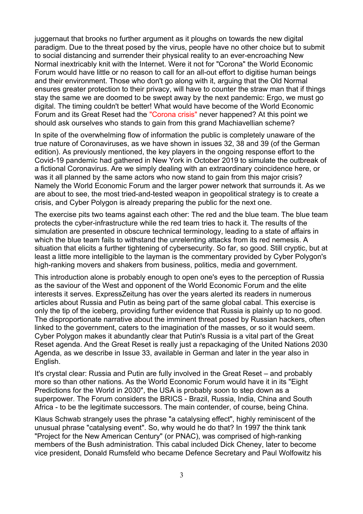juggernaut that brooks no further argument as it ploughs on towards the new digital paradigm. Due to the threat posed by the virus, people have no other choice but to submit to social distancing and surrender their physical reality to an ever-encroaching New Normal inextricably knit with the Internet. Were it not for "Corona" the World Economic Forum would have little or no reason to call for an all-out effort to digitise human beings and their environment. Those who don't go along with it, arguing that the Old Normal ensures greater protection to their privacy, will have to counter the straw man that if things stay the same we are doomed to be swept away by the next pandemic: Ergo, we must go digital. The timing couldn't be better! What would have become of the World Economic Forum and its Great Reset had the "Corona crisis" never happened? At this point we should ask ourselves who stands to gain from this grand Machiavellian scheme?

In spite of the overwhelming flow of information the public is completely unaware of the true nature of Coronaviruses, as we have shown in issues 32, 38 and 39 (of the German edition). As previously mentioned, the key players in the ongoing response effort to the Covid-19 pandemic had gathered in New York in October 2019 to simulate the outbreak of a fictional Coronavirus. Are we simply dealing with an extraordinary coincidence here, or was it all planned by the same actors who now stand to gain from this major crisis? Namely the World Economic Forum and the larger power network that surrounds it. As we are about to see, the most tried-and-tested weapon in geopolitical strategy is to create a crisis, and Cyber Polygon is already preparing the public for the next one.

The exercise pits two teams against each other: The red and the blue team. The blue team protects the cyber-infrastructure while the red team tries to hack it. The results of the simulation are presented in obscure technical terminology, leading to a state of affairs in which the blue team fails to withstand the unrelenting attacks from its red nemesis. A situation that elicits a further tightening of cybersecurity. So far, so good. Still cryptic, but at least a little more intelligible to the layman is the commentary provided by Cyber Polygon's high-ranking movers and shakers from business, politics, media and government.

This introduction alone is probably enough to open one's eyes to the perception of Russia as the saviour of the West and opponent of the World Economic Forum and the elite interests it serves. ExpressZeitung has over the years alerted its readers in numerous articles about Russia and Putin as being part of the same global cabal. This exercise is only the tip of the iceberg, providing further evidence that Russia is plainly up to no good. The disproportionate narrative about the imminent threat posed by Russian hackers, often linked to the government, caters to the imagination of the masses, or so it would seem. Cyber Polygon makes it abundantly clear that Putin's Russia is a vital part of the Great Reset agenda. And the Great Reset is really just a repackaging of the United Nations 2030 Agenda, as we describe in Issue 33, available in German and later in the year also in English.

It's crystal clear: Russia and Putin are fully involved in the Great Reset – and probably more so than other nations. As the World Economic Forum would have it in its "Eight Predictions for the World in 2030", the USA is probably soon to step down as a superpower. The Forum considers the BRICS - Brazil, Russia, India, China and South Africa - to be the legitimate successors. The main contender, of course, being China.

Klaus Schwab strangely uses the phrase "a catalysing effect", highly reminiscent of the unusual phrase "catalysing event". So, why would he do that? In 1997 the think tank "Project for the New American Century" (or PNAC), was comprised of high-ranking members of the Bush administration. This cabal included Dick Cheney, later to become vice president, Donald Rumsfeld who became Defence Secretary and Paul Wolfowitz his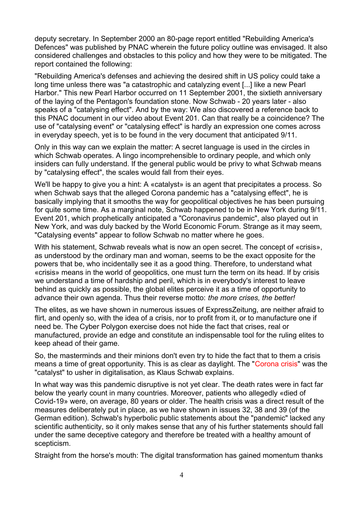deputy secretary. In September 2000 an 80-page report entitled "Rebuilding America's Defences" was published by PNAC wherein the future policy outline was envisaged. It also considered challenges and obstacles to this policy and how they were to be mitigated. The report contained the following:

"Rebuilding America's defenses and achieving the desired shift in US policy could take a long time unless there was "a catastrophic and catalyzing event [...] like a new Pearl Harbor." This new Pearl Harbor occurred on 11 September 2001, the sixtieth anniversary of the laying of the Pentagon's foundation stone. Now Schwab - 20 years later - also speaks of a "catalysing effect". And by the way: We also discovered a reference back to this PNAC document in our video about Event 201. Can that really be a coincidence? The use of "catalysing event" or "catalysing effect" is hardly an expression one comes across in everyday speech, yet is to be found in the very document that anticipated 9/11.

Only in this way can we explain the matter: A secret language is used in the circles in which Schwab operates. A lingo incomprehensible to ordinary people, and which only insiders can fully understand. If the general public would be privy to what Schwab means by "catalysing effect", the scales would fall from their eyes.

We'll be happy to give you a hint: A «catalyst» is an agent that precipitates a process. So when Schwab says that the alleged Corona pandemic has a "catalysing effect", he is basically implying that it smooths the way for geopolitical objectives he has been pursuing for quite some time. As a marginal note, Schwab happened to be in New York during 9/11. Event 201, which prophetically anticipated a "Coronavirus pandemic", also played out in New York, and was duly backed by the World Economic Forum. Strange as it may seem, "Catalysing events" appear to follow Schwab no matter where he goes.

With his statement. Schwab reveals what is now an open secret. The concept of «crisis», as understood by the ordinary man and woman, seems to be the exact opposite for the powers that be, who incidentally see it as a good thing. Therefore, to understand what «crisis» means in the world of geopolitics, one must turn the term on its head. If by crisis we understand a time of hardship and peril, which is in everybody's interest to leave behind as quickly as possible, the global elites perceive it as a time of opportunity to advance their own agenda. Thus their reverse motto: *the more crises, the better!* 

The elites, as we have shown in numerous issues of ExpressZeitung, are neither afraid to flirt, and openly so, with the idea of a crisis, nor to profit from it, or to manufacture one if need be. The Cyber Polygon exercise does not hide the fact that crises, real or manufactured, provide an edge and constitute an indispensable tool for the ruling elites to keep ahead of their game.

So, the masterminds and their minions don't even try to hide the fact that to them a crisis means a time of great opportunity. This is as clear as daylight. The "Corona crisis" was the "catalyst" to usher in digitalisation, as Klaus Schwab explains.

In what way was this pandemic disruptive is not yet clear. The death rates were in fact far below the yearly count in many countries. Moreover, patients who allegedly «died of Covid-19» were, on average, 80 years or older. The health crisis was a direct result of the measures deliberately put in place, as we have shown in issues 32, 38 and 39 (of the German edition). Schwab's hyperbolic public statements about the "pandemic" lacked any scientific authenticity, so it only makes sense that any of his further statements should fall under the same deceptive category and therefore be treated with a healthy amount of scepticism.

Straight from the horse's mouth: The digital transformation has gained momentum thanks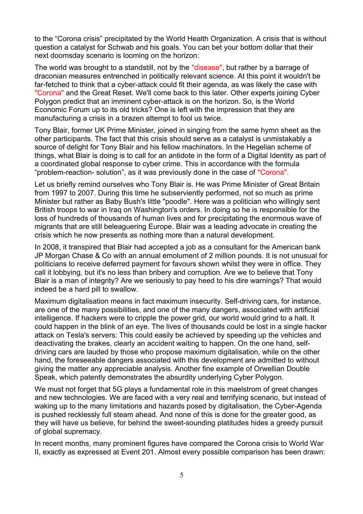to the "Corona crisis" precipitated by the World Health Organization. A crisis that is without question a catalyst for Schwab and his goals. You can bet your bottom dollar that their next doomsday scenario is looming on the horizon:

The world was brought to a standstill, not by the "disease", but rather by a barrage of draconian measures entrenched in politically relevant science. At this point it wouldn't be far-fetched to think that a cyber-attack could fit their agenda, as was likely the case with "Corona" and the Great Reset. We'll come back to this later. Other experts joining Cyber Polygon predict that an imminent cyber-attack is on the horizon. So, is the World Economic Forum up to its old tricks? One is left with the impression that they are manufacturing a crisis in a brazen attempt to fool us twice.

Tony Blair, former UK Prime Minister, joined in singing from the same hymn sheet as the other participants. The fact that this crisis should serve as a catalyst is unmistakably a source of delight for Tony Blair and his fellow machinators. In the Hegelian scheme of things, what Blair is doing is to call for an antidote in the form of a Digital Identity as part of a coordinated global response to cyber crime. This in accordance with the formula "problem-reaction- solution", as it was previously done in the case of "Corona".

Let us briefly remind ourselves who Tony Blair is. He was Prime Minister of Great Britain from 1997 to 2007. During this time he subserviently performed, not so much as prime Minister but rather as Baby Bush's little "poodle". Here was a politician who willingly sent British troops to war in Iraq on Washington's orders. In doing so he is responsible for the loss of hundreds of thousands of human lives and for precipitating the enormous wave of migrants that are still beleaguering Europe. Blair was a leading advocate in creating the crisis which he now presents as nothing more than a natural development.

In 2008, it transpired that Blair had accepted a job as a consultant for the American bank JP Morgan Chase & Co with an annual emolument of 2 million pounds. It is not unusual for politicians to receive deferred payment for favours shown whilst they were in office. They call it lobbying, but it's no less than bribery and corruption. Are we to believe that Tony Blair is a man of integrity? Are we seriously to pay heed to his dire warnings? That would indeed be a hard pill to swallow.

Maximum digitalisation means in fact maximum insecurity. Self-driving cars, for instance, are one of the many possibilities, and one of the many dangers, associated with artificial intelligence. If hackers were to cripple the power grid, our world would grind to a halt. It could happen in the blink of an eye. The lives of thousands could be lost in a single hacker attack on Tesla's servers: This could easily be achieved by speeding up the vehicles and deactivating the brakes, clearly an accident waiting to happen. On the one hand, selfdriving cars are lauded by those who propose maximum digitalisation, while on the other hand, the foreseeable dangers associated with this development are admitted to without giving the matter any appreciable analysis. Another fine example of Orwellian Double Speak, which patently demonstrates the absurdity underlying Cyber Polygon.

We must not forget that 5G plays a fundamental role in this maelstrom of great changes and new technologies. We are faced with a very real and terrifying scenario, but instead of waking up to the many limitations and hazards posed by digitalisation, the Cyber-Agenda is pushed recklessly full steam ahead. And none of this is done for the greater good, as they will have us believe, for behind the sweet-sounding platitudes hides a greedy pursuit of global supremacy.

In recent months, many prominent figures have compared the Corona crisis to World War II, exactly as expressed at Event 201. Almost every possible comparison has been drawn: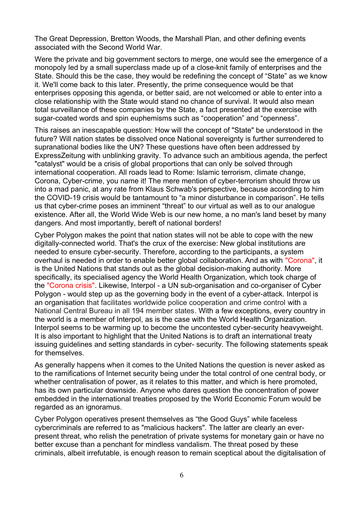The Great Depression, Bretton Woods, the Marshall Plan, and other defining events associated with the Second World War.

Were the private and big government sectors to merge, one would see the emergence of a monopoly led by a small superclass made up of a close-knit family of enterprises and the State. Should this be the case, they would be redefining the concept of "State" as we know it. We'll come back to this later. Presently, the prime consequence would be that enterprises opposing this agenda, or better said, are not welcomed or able to enter into a close relationship with the State would stand no chance of survival. It would also mean total surveillance of these companies by the State, a fact presented at the exercise with sugar-coated words and spin euphemisms such as "cooperation" and "openness".

This raises an inescapable question: How will the concept of "State" be understood in the future? Will nation states be dissolved once National sovereignty is further surrendered to supranational bodies like the UN? These questions have often been addressed by ExpressZeitung with unblinking gravity. To advance such an ambitious agenda, the perfect "catalyst" would be a crisis of global proportions that can only be solved through international cooperation. All roads lead to Rome: Islamic terrorism, climate change, Corona, Cyber-crime, you name it! The mere mention of cyber-terrorism should throw us into a mad panic, at any rate from Klaus Schwab's perspective, because according to him the COVID-19 crisis would be tantamount to "a minor disturbance in comparison". He tells us that cyber-crime poses an imminent "threat" to our virtual as well as to our analogue existence. After all, the World Wide Web is our new home, a no man's land beset by many dangers. And most importantly, bereft of national borders!

Cyber Polygon makes the point that nation states will not be able to cope with the new digitally-connected world. That's the crux of the exercise: New global institutions are needed to ensure cyber-security. Therefore, according to the participants, a system overhaul is needed in order to enable better global collaboration. And as with "Corona", it is the United Nations that stands out as the global decision-making authority. More specifically, its specialised agency the World Health Organization, which took charge of the "Corona crisis". Likewise, Interpol - a UN sub-organisation and co-organiser of Cyber Polygon - would step up as the governing body in the event of a cyber-attack. Interpol is an organisation that facilitates worldwide police cooperation and crime control with a National Central Bureau in all 194 member states. With a few exceptions, every country in the world is a member of Interpol, as is the case with the World Health Organization. Interpol seems to be warming up to become the uncontested cyber-security heavyweight. It is also important to highlight that the United Nations is to draft an international treaty issuing guidelines and setting standards in cyber- security. The following statements speak for themselves.

As generally happens when it comes to the United Nations the question is never asked as to the ramifications of Internet security being under the total control of one central body, or whether centralisation of power, as it relates to this matter, and which is here promoted, has its own particular downside. Anyone who dares question the concentration of power embedded in the international treaties proposed by the World Economic Forum would be regarded as an ignoramus.

Cyber Polygon operatives present themselves as "the Good Guys" while faceless cybercriminals are referred to as "malicious hackers". The latter are clearly an everpresent threat, who relish the penetration of private systems for monetary gain or have no better excuse than a penchant for mindless vandalism. The threat posed by these criminals, albeit irrefutable, is enough reason to remain sceptical about the digitalisation of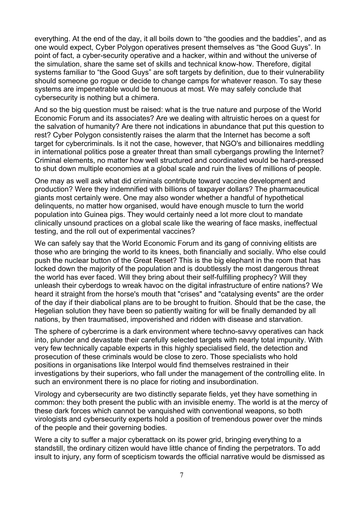everything. At the end of the day, it all boils down to "the goodies and the baddies", and as one would expect, Cyber Polygon operatives present themselves as "the Good Guys". In point of fact, a cyber-security operative and a hacker, within and without the universe of the simulation, share the same set of skills and technical know-how. Therefore, digital systems familiar to "the Good Guys" are soft targets by definition, due to their vulnerability should someone go rogue or decide to change camps for whatever reason. To say these systems are impenetrable would be tenuous at most. We may safely conclude that cybersecurity is nothing but a chimera.

And so the big question must be raised: what is the true nature and purpose of the World Economic Forum and its associates? Are we dealing with altruistic heroes on a quest for the salvation of humanity? Are there not indications in abundance that put this question to rest? Cyber Polygon consistently raises the alarm that the Internet has become a soft target for cybercriminals. Is it not the case, however, that NGO's and billionaires meddling in international politics pose a greater threat than small cybergangs prowling the Internet? Criminal elements, no matter how well structured and coordinated would be hard-pressed to shut down multiple economies at a global scale and ruin the lives of millions of people.

One may as well ask what did criminals contribute toward vaccine development and production? Were they indemnified with billions of taxpayer dollars? The pharmaceutical giants most certainly were. One may also wonder whether a handful of hypothetical delinquents, no matter how organised, would have enough muscle to turn the world population into Guinea pigs. They would certainly need a lot more clout to mandate clinically unsound practices on a global scale like the wearing of face masks, ineffectual testing, and the roll out of experimental vaccines?

We can safely say that the World Economic Forum and its gang of conniving elitists are those who are bringing the world to its knees, both financially and socially. Who else could push the nuclear button of the Great Reset? This is the big elephant in the room that has locked down the majority of the population and is doubtlessly the most dangerous threat the world has ever faced. Will they bring about their self-fulfilling prophecy? Will they unleash their cyberdogs to wreak havoc on the digital infrastructure of entire nations? We heard it straight from the horse's mouth that "crises" and "catalysing events" are the order of the day if their diabolical plans are to be brought to fruition. Should that be the case, the Hegelian solution they have been so patiently waiting for will be finally demanded by all nations, by then traumatised, impoverished and ridden with disease and starvation.

The sphere of cybercrime is a dark environment where techno-savvy operatives can hack into, plunder and devastate their carefully selected targets with nearly total impunity. With very few technically capable experts in this highly specialised field, the detection and prosecution of these criminals would be close to zero. Those specialists who hold positions in organisations like Interpol would find themselves restrained in their investigations by their superiors, who fall under the management of the controlling elite. In such an environment there is no place for rioting and insubordination.

Virology and cybersecurity are two distinctly separate fields, yet they have something in common: they both present the public with an invisible enemy. The world is at the mercy of these dark forces which cannot be vanquished with conventional weapons, so both virologists and cybersecurity experts hold a position of tremendous power over the minds of the people and their governing bodies.

Were a city to suffer a major cyberattack on its power grid, bringing everything to a standstill, the ordinary citizen would have little chance of finding the perpetrators. To add insult to injury, any form of scepticism towards the official narrative would be dismissed as